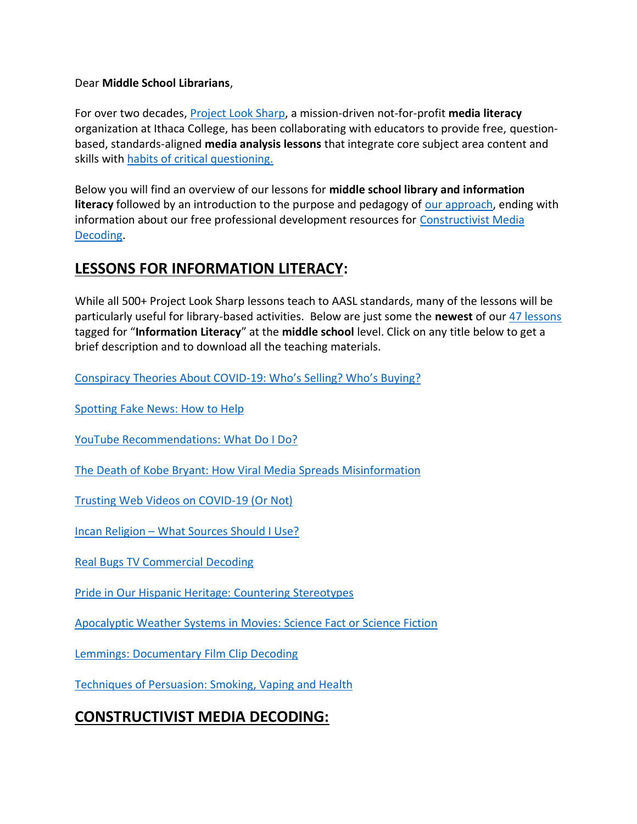#### Dear **Middle School Librarians**,

For over two decades, [Project Look Sharp,](https://www.projectlooksharp.org/) a mission-driven not-for-profit **media literacy** organization at Ithaca College, has been collaborating with educators to provide free, questionbased, standards-aligned **media analysis lessons** that integrate core subject area content and skills with [habits of critical questioning.](https://projectlooksharp.org/Resources%202/Key-Questions-for-Decoding%20Dec-21.pdf)

Below you will find an overview of our lessons for **middle school library and information literacy** followed by an introduction to the purpose and pedagogy of [our approach,](https://projectlooksharp.org/our-approach.php) ending with information about our free professional development resources for [Constructivist Media](https://projectlooksharp.org/our-approach.php#Constructivist)  [Decoding.](https://projectlooksharp.org/our-approach.php#Constructivist)

#### **LESSONS FOR INFORMATION LITERACY:**

While all 500+ Project Look Sharp lessons teach to AASL standards, many of the lessons will be particularly useful for library-based activities. Below are just some the **newest** of our [47 lessons](https://projectlooksharp.org/search-result.php?limit=10&search%5Bkeyword%5D=%22information+literacy%22&search%5Bcategory%5D=lessons&search_filter%5Bresource_grade_level%5D%5B%5D=middle+school) tagged for "**Information Literacy**" at the **middle school** level. Click on any title below to get a brief description and to download all the teaching materials.

[Conspiracy](https://projectlooksharp.org/front_end_resource.php?resource_id=523) Theories About COVID-19: Who's Selling? Who's Buying?

[Spotting](https://projectlooksharp.org/front_end_resource.php?resource_id=465) Fake News: How to Help

YouTube [Recommendations:](https://projectlooksharp.org/front_end_resource.php?resource_id=486) What Do I Do?

The Death of Kobe Bryant: How Viral Media Spreads [Misinformation](https://projectlooksharp.org/front_end_resource.php?resource_id=521)

Trusting Web Videos on [COVID-19](https://projectlooksharp.org/front_end_resource.php?resource_id=506) (Or Not)

Incan [Religion](https://projectlooksharp.org/front_end_resource.php?resource_id=558) – What Sources Should I Use?

Real Bugs TV [Commercial](https://projectlooksharp.org/front_end_resource.php?resource_id=382) Decoding

Pride in Our Hispanic Heritage: Countering [Stereotypes](https://projectlooksharp.org/front_end_resource.php?resource_id=472)

[Apocalyptic](https://projectlooksharp.org/front_end_resource.php?resource_id=436) Weather Systems in Movies: Science Fact or Science Fiction

Lemmings: [Documentary](https://projectlooksharp.org/front_end_resource.php?resource_id=384) Film Clip Decoding

Techniques of [Persuasion:](https://projectlooksharp.org/front_end_resource.php?resource_id=528) Smoking, Vaping and Health

# **CONSTRUCTIVIST MEDIA DECODING:**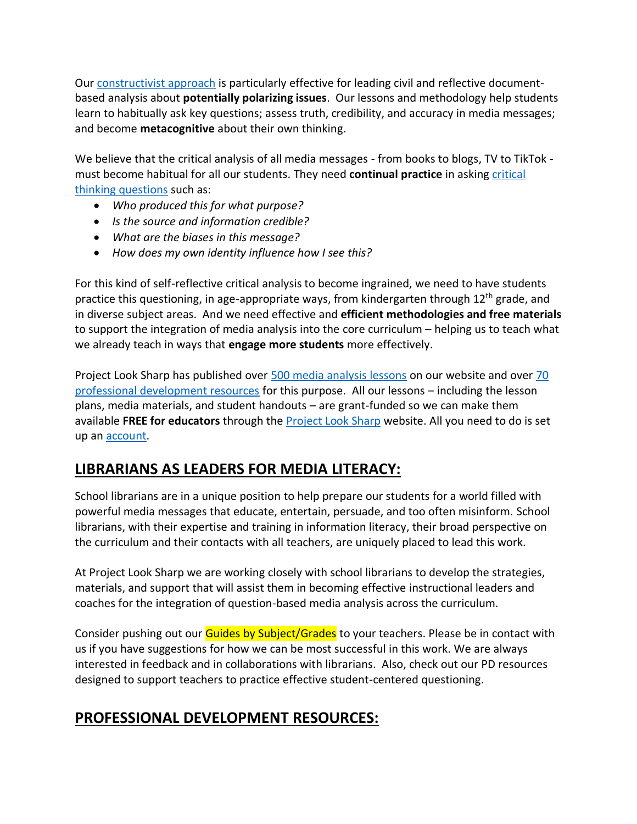Our [constructivist approach](https://projectlooksharp.org/our-approach.php) is particularly effective for leading civil and reflective documentbased analysis about **potentially polarizing issues**. Our lessons and methodology help students learn to habitually ask key questions; assess truth, credibility, and accuracy in media messages; and become **metacognitive** about their own thinking.

We believe that the critical analysis of all media messages - from books to blogs, TV to TikTok must become habitual for all our students. They need **continual practice** in asking [critical](https://projectlooksharp.org/Resources%202/Project%20Look%20Sharp%20Key%20Questions%20Both.pdf)  [thinking questions](https://projectlooksharp.org/Resources%202/Project%20Look%20Sharp%20Key%20Questions%20Both.pdf) such as:

- *Who produced this for what purpose?*
- *Is the source and information credible?*
- *What are the biases in this message?*
- *How does my own identity influence how I see this?*

For this kind of self-reflective critical analysis to become ingrained, we need to have students practice this questioning, in age-appropriate ways, from kindergarten through 12<sup>th</sup> grade, and in diverse subject areas. And we need effective and **efficient methodologies and free materials** to support the integration of media analysis into the core curriculum – helping us to teach what we already teach in ways that **engage more students** more effectively.

Project Look Sharp has published over [500 media analysis lessons](https://www.projectlooksharp.org/search-result.php?search%5Bkeyword%5D=&search%5Bcategory%5D=lessons) on our website and over [70](https://www.projectlooksharp.org/search-result.php?search%5Bkeyword%5D=&search%5Bcategory%5D=PD)  [professional development resources](https://www.projectlooksharp.org/search-result.php?search%5Bkeyword%5D=&search%5Bcategory%5D=PD) for this purpose. All our lessons – including the lesson plans, media materials, and student handouts – are grant-funded so we can make them available **FREE for educators** through the [Project Look Sharp](https://projectlooksharp.org/index.php) website. All you need to do is set up an [account.](https://projectlooksharp.org/register.php)

## **LIBRARIANS AS LEADERS FOR MEDIA LITERACY:**

School librarians are in a unique position to help prepare our students for a world filled with powerful media messages that educate, entertain, persuade, and too often misinform. School librarians, with their expertise and training in information literacy, their broad perspective on the curriculum and their contacts with all teachers, are uniquely placed to lead this work.

At Project Look Sharp we are working closely with school librarians to develop the strategies, materials, and support that will assist them in becoming effective instructional leaders and coaches for the integration of question-based media analysis across the curriculum.

Consider pushing out our **Guides by Subject/Grades** to your teachers. Please be in contact with us if you have suggestions for how we can be most successful in this work. We are always interested in feedback and in collaborations with librarians. Also, check out our PD resources designed to support teachers to practice effective student-centered questioning.

## **PROFESSIONAL DEVELOPMENT RESOURCES:**